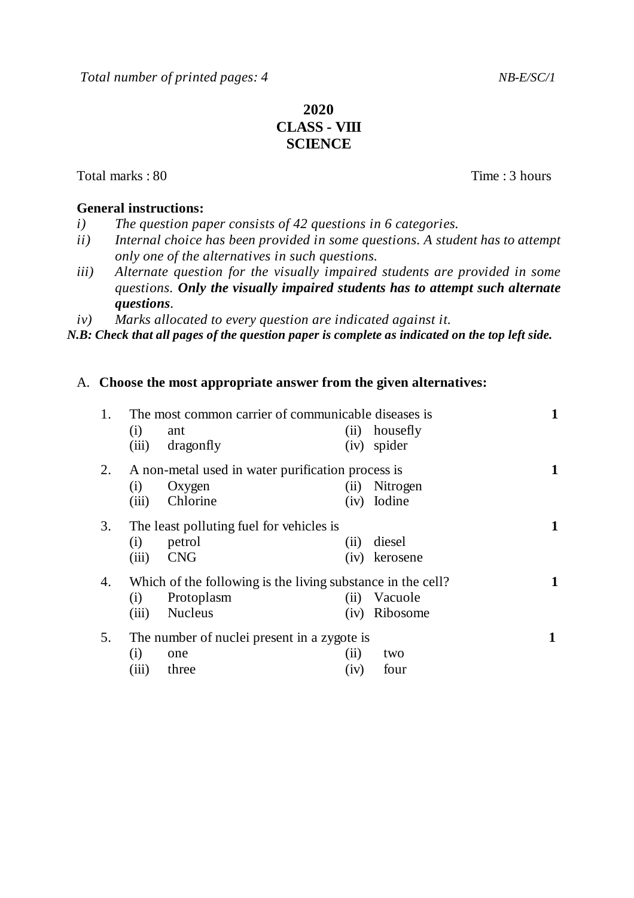# **2020 CLASS - VIII SCIENCE**

Total marks : 80 Time : 3 hours

### **General instructions:**

- *i) The question paper consists of 42 questions in 6 categories.*
- *ii) Internal choice has been provided in some questions. A student has to attempt only one of the alternatives in such questions.*
- *iii) Alternate question for the visually impaired students are provided in some questions. Only the visually impaired students has to attempt such alternate questions.*

*iv) Marks allocated to every question are indicated against it.*

*N.B: Check that all pages of the question paper is complete as indicated on the top left side.*

## A. **Choose the most appropriate answer from the given alternatives:**

| 1. | The most common carrier of communicable diseases is |                                                             |      |          |  |
|----|-----------------------------------------------------|-------------------------------------------------------------|------|----------|--|
|    | (i)                                                 | ant                                                         | (ii) | housefly |  |
|    | (iii)                                               | dragonfly                                                   | (iv) | spider   |  |
| 2. | A non-metal used in water purification process is   |                                                             |      |          |  |
|    | (i)                                                 | Oxygen                                                      | (11) | Nitrogen |  |
|    | (iii)                                               | Chlorine                                                    | (iv) | Iodine   |  |
| 3. | The least polluting fuel for vehicles is            |                                                             |      |          |  |
|    | (i)                                                 | petrol                                                      | (11) | diesel   |  |
|    | (iii)                                               | <b>CNG</b>                                                  | (iv) | kerosene |  |
| 4. |                                                     | Which of the following is the living substance in the cell? |      |          |  |
|    | (i)                                                 | Protoplasm                                                  | (ii) | Vacuole  |  |
|    | (iii)                                               | <b>Nucleus</b>                                              | (iv) | Ribosome |  |
| 5. | The number of nuclei present in a zygote is         |                                                             |      |          |  |
|    | (i)                                                 | one                                                         | (ii) | two      |  |
|    | (iii)                                               | three                                                       | (iv) | four     |  |
|    |                                                     |                                                             |      |          |  |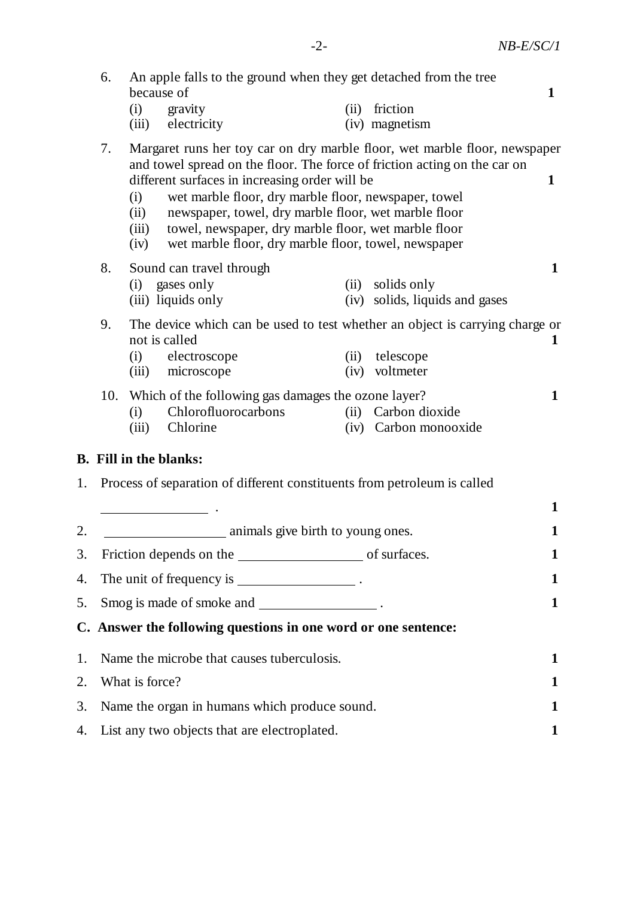|    | 6.                                                                                                                                                                                                                                                                                                                                                                                                                                                                              | because of   | An apple falls to the ground when they get detached from the tree                          |              |                                                                                                        | $\mathbf{1}$ |
|----|---------------------------------------------------------------------------------------------------------------------------------------------------------------------------------------------------------------------------------------------------------------------------------------------------------------------------------------------------------------------------------------------------------------------------------------------------------------------------------|--------------|--------------------------------------------------------------------------------------------|--------------|--------------------------------------------------------------------------------------------------------|--------------|
|    |                                                                                                                                                                                                                                                                                                                                                                                                                                                                                 | (i)<br>(iii) | gravity<br>electricity                                                                     | (ii)         | friction<br>(iv) magnetism                                                                             |              |
|    | 7.<br>Margaret runs her toy car on dry marble floor, wet marble floor, newspaper<br>and towel spread on the floor. The force of friction acting on the car on<br>different surfaces in increasing order will be<br>wet marble floor, dry marble floor, newspaper, towel<br>(i)<br>newspaper, towel, dry marble floor, wet marble floor<br>(ii)<br>towel, newspaper, dry marble floor, wet marble floor<br>(iii)<br>wet marble floor, dry marble floor, towel, newspaper<br>(iv) |              |                                                                                            |              |                                                                                                        |              |
|    | 8.                                                                                                                                                                                                                                                                                                                                                                                                                                                                              |              | Sound can travel through                                                                   |              |                                                                                                        | $\mathbf{1}$ |
|    |                                                                                                                                                                                                                                                                                                                                                                                                                                                                                 |              | (i) gases only<br>(iii) liquids only                                                       | (ii)         | solids only<br>(iv) solids, liquids and gases                                                          |              |
|    | 9.                                                                                                                                                                                                                                                                                                                                                                                                                                                                              | (i)<br>(iii) | not is called<br>electroscope<br>microscope                                                | (ii)<br>(iv) | The device which can be used to test whether an object is carrying charge or<br>telescope<br>voltmeter | $\mathbf 1$  |
|    |                                                                                                                                                                                                                                                                                                                                                                                                                                                                                 | (i)<br>(iii) | 10. Which of the following gas damages the ozone layer?<br>Chlorofluorocarbons<br>Chlorine | (iv)         | (ii) Carbon dioxide<br>Carbon monooxide                                                                | $\mathbf{1}$ |
|    |                                                                                                                                                                                                                                                                                                                                                                                                                                                                                 |              | <b>B.</b> Fill in the blanks:                                                              |              |                                                                                                        |              |
| 1. |                                                                                                                                                                                                                                                                                                                                                                                                                                                                                 |              | Process of separation of different constituents from petroleum is called                   |              |                                                                                                        |              |
|    |                                                                                                                                                                                                                                                                                                                                                                                                                                                                                 |              |                                                                                            |              |                                                                                                        | $\mathbf 1$  |
| 2. |                                                                                                                                                                                                                                                                                                                                                                                                                                                                                 |              | animals give birth to young ones.                                                          |              |                                                                                                        | 1            |
| 3. |                                                                                                                                                                                                                                                                                                                                                                                                                                                                                 |              |                                                                                            |              |                                                                                                        | 1            |
| 4. | The unit of frequency is _______________________.                                                                                                                                                                                                                                                                                                                                                                                                                               |              |                                                                                            |              |                                                                                                        | 1            |
| 5. | Smog is made of smoke and _________________.                                                                                                                                                                                                                                                                                                                                                                                                                                    |              |                                                                                            |              |                                                                                                        | 1            |
|    |                                                                                                                                                                                                                                                                                                                                                                                                                                                                                 |              | C. Answer the following questions in one word or one sentence:                             |              |                                                                                                        |              |
| 1. |                                                                                                                                                                                                                                                                                                                                                                                                                                                                                 |              | Name the microbe that causes tuberculosis.                                                 |              |                                                                                                        | 1            |
| 2. | What is force?                                                                                                                                                                                                                                                                                                                                                                                                                                                                  |              |                                                                                            |              |                                                                                                        | 1            |
| 3. | Name the organ in humans which produce sound.                                                                                                                                                                                                                                                                                                                                                                                                                                   |              |                                                                                            |              |                                                                                                        | 1            |
| 4. | List any two objects that are electroplated.                                                                                                                                                                                                                                                                                                                                                                                                                                    |              |                                                                                            |              |                                                                                                        | 1            |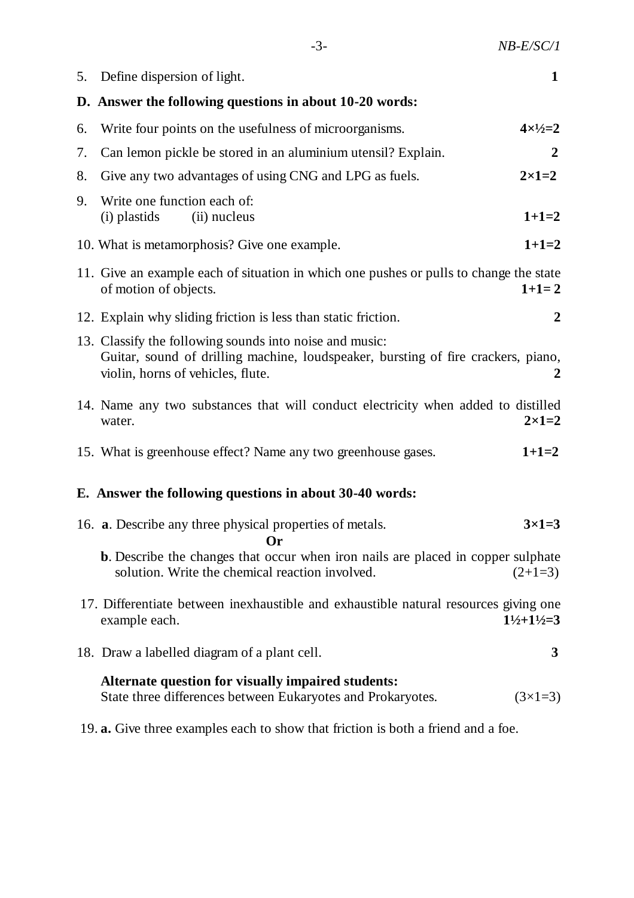| ٦ |
|---|
|   |
|   |

|    | 5. Define dispersion of light.                                                                                                                                                    | $\mathbf{1}$                  |
|----|-----------------------------------------------------------------------------------------------------------------------------------------------------------------------------------|-------------------------------|
|    | D. Answer the following questions in about 10-20 words:                                                                                                                           |                               |
| 6. | Write four points on the usefulness of microorganisms.                                                                                                                            | $4 \times 1/2 = 2$            |
| 7. | Can lemon pickle be stored in an aluminium utensil? Explain.                                                                                                                      | $\overline{2}$                |
| 8. | Give any two advantages of using CNG and LPG as fuels.                                                                                                                            | $2\times1=2$                  |
| 9. | Write one function each of:<br>(i) plastids<br>(ii) nucleus                                                                                                                       | $1+1=2$                       |
|    | 10. What is metamorphosis? Give one example.                                                                                                                                      | $1+1=2$                       |
|    | 11. Give an example each of situation in which one pushes or pulls to change the state<br>of motion of objects.                                                                   | $1+1=2$                       |
|    | 12. Explain why sliding friction is less than static friction.                                                                                                                    | 2                             |
|    | 13. Classify the following sounds into noise and music:<br>Guitar, sound of drilling machine, loudspeaker, bursting of fire crackers, piano,<br>violin, horns of vehicles, flute. | 2                             |
|    | 14. Name any two substances that will conduct electricity when added to distilled<br>water.                                                                                       | $2 \times 1 = 2$              |
|    | 15. What is greenhouse effect? Name any two greenhouse gases.                                                                                                                     | $1+1=2$                       |
|    | E. Answer the following questions in about 30-40 words:                                                                                                                           |                               |
|    | 16. <b>a.</b> Describe any three physical properties of metals.<br><b>Or</b>                                                                                                      | $3\times1=3$                  |
|    | <b>b.</b> Describe the changes that occur when iron nails are placed in copper sulphate<br>solution. Write the chemical reaction involved.                                        | $(2+1=3)$                     |
|    | 17. Differentiate between inexhaustible and exhaustible natural resources giving one<br>example each.                                                                             | $1\frac{1}{2}+1\frac{1}{2}=3$ |
|    | 18. Draw a labelled diagram of a plant cell.                                                                                                                                      | 3                             |
|    | Alternate question for visually impaired students:<br>State three differences between Eukaryotes and Prokaryotes.                                                                 | $(3\times1=3)$                |

19. **a.** Give three examples each to show that friction is both a friend and a foe.